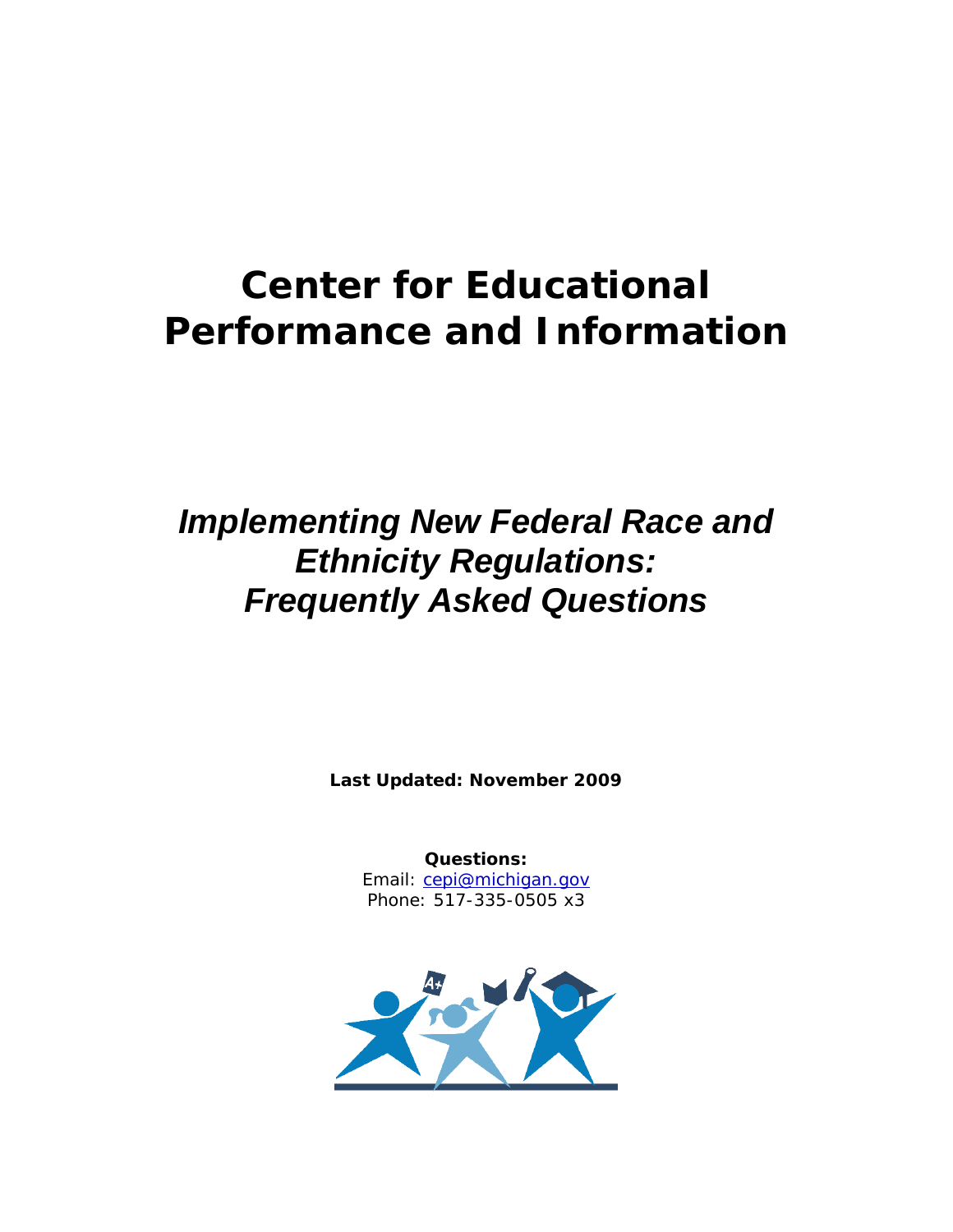# **Center for Educational Performance and Information**

# *Implementing New Federal Race and Ethnicity Regulations: Frequently Asked Questions*

**Last Updated: November 2009**

**Questions:** Email: [cepi@michigan.gov](mailto:cepi@michigan.gov) Phone: 517-335-0505 x3

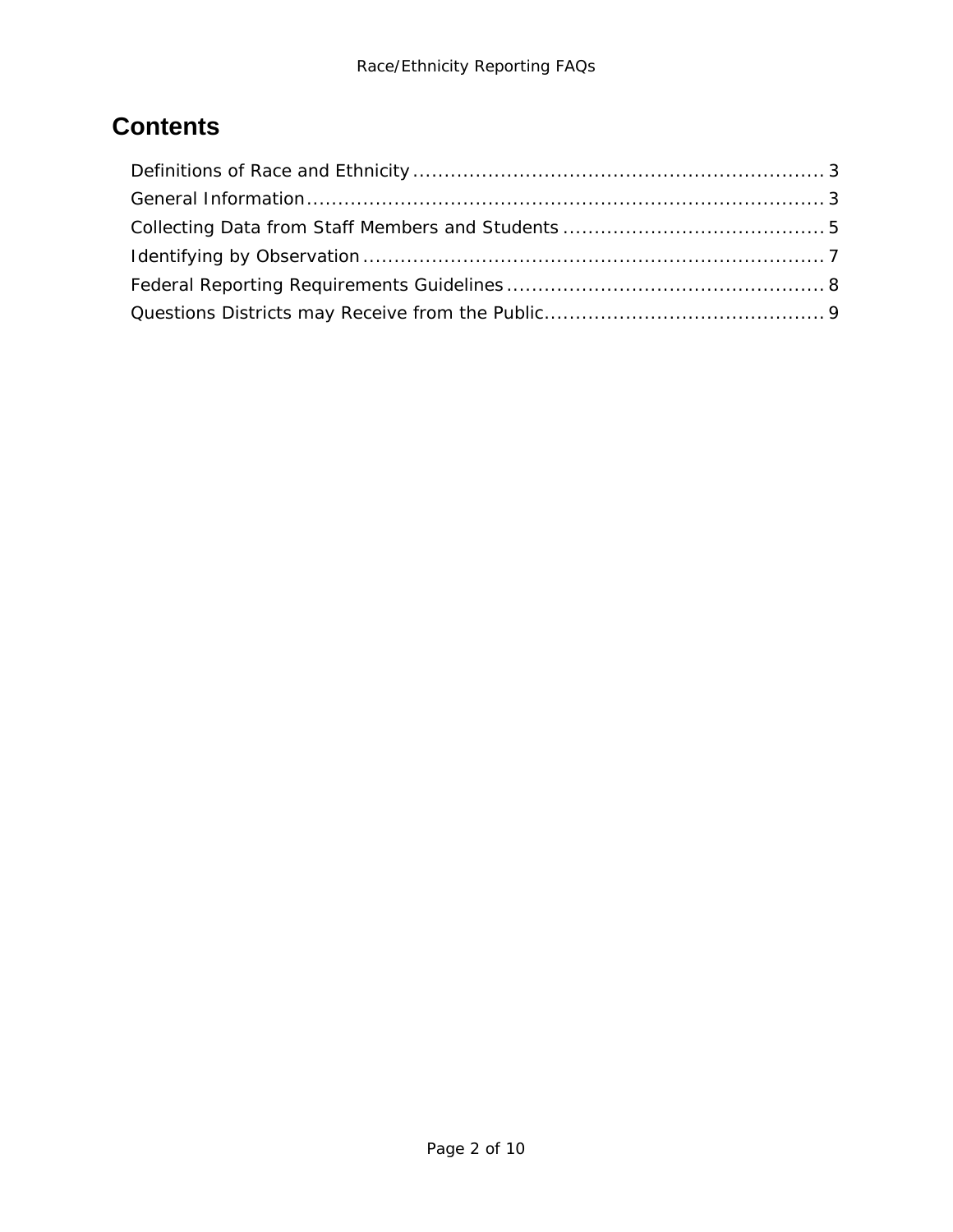# **Contents**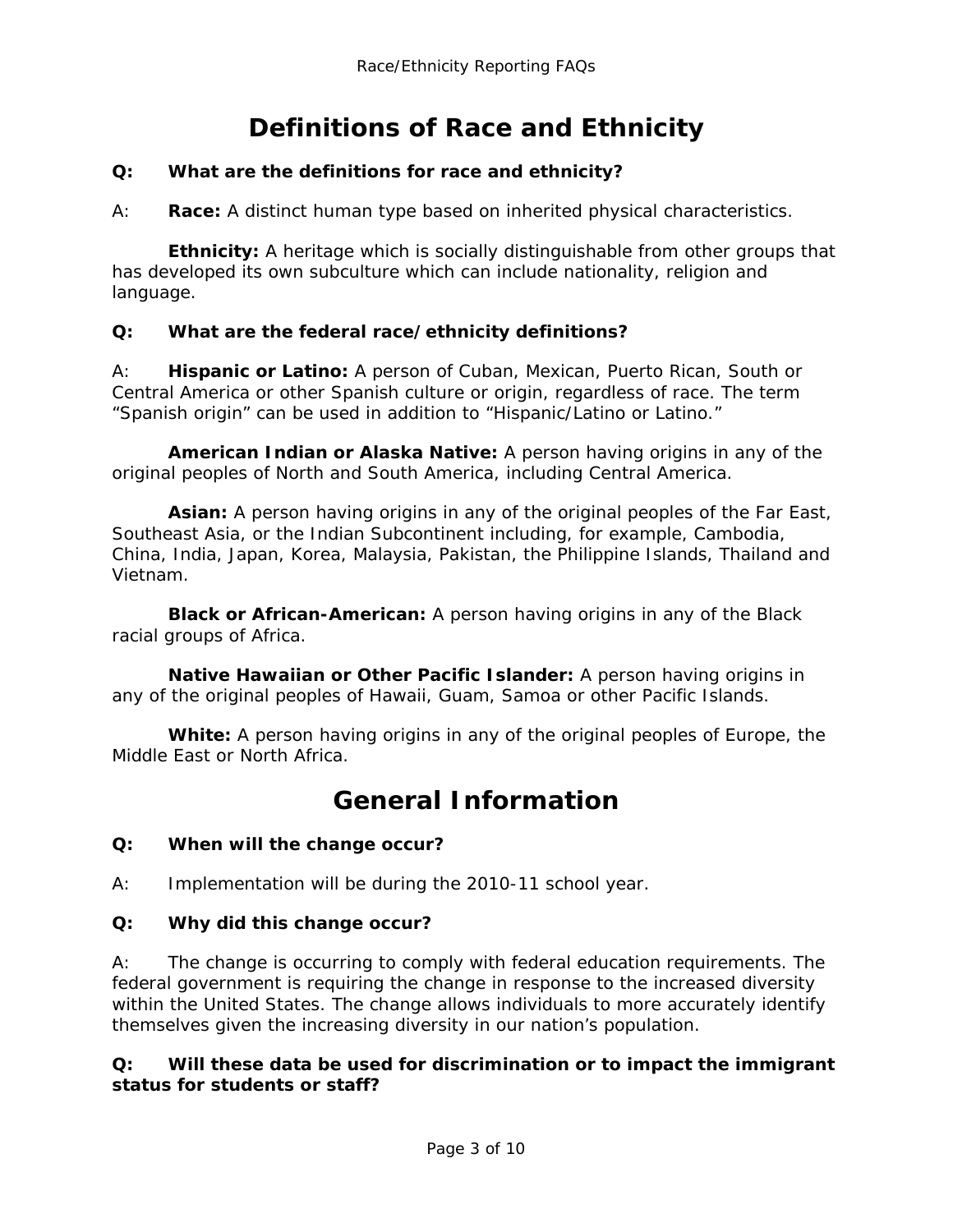# **Definitions of Race and Ethnicity**

#### <span id="page-2-0"></span>**Q: What are the definitions for race and ethnicity?**

A: **Race:** A distinct human type based on inherited physical characteristics.

**Ethnicity:** A heritage which is socially distinguishable from other groups that has developed its own subculture which can include nationality, religion and language.

#### **Q: What are the federal race/ethnicity definitions?**

A: **Hispanic or Latino:** A person of Cuban, Mexican, Puerto Rican, South or Central America or other Spanish culture or origin, regardless of race. The term "Spanish origin" can be used in addition to "Hispanic/Latino or Latino."

**American Indian or Alaska Native:** A person having origins in any of the original peoples of North and South America, including Central America.

**Asian:** A person having origins in any of the original peoples of the Far East, Southeast Asia, or the Indian Subcontinent including, for example, Cambodia, China, India, Japan, Korea, Malaysia, Pakistan, the Philippine Islands, Thailand and Vietnam.

**Black or African-American:** A person having origins in any of the Black racial groups of Africa.

**Native Hawaiian or Other Pacific Islander:** A person having origins in any of the original peoples of Hawaii, Guam, Samoa or other Pacific Islands.

**White:** A person having origins in any of the original peoples of Europe, the Middle East or North Africa.

### **General Information**

#### <span id="page-2-1"></span>**Q: When will the change occur?**

A: Implementation will be during the 2010-11 school year.

#### **Q: Why did this change occur?**

A: The change is occurring to comply with federal education requirements. The federal government is requiring the change in response to the increased diversity within the United States. The change allows individuals to more accurately identify themselves given the increasing diversity in our nation's population.

#### **Q: Will these data be used for discrimination or to impact the immigrant status for students or staff?**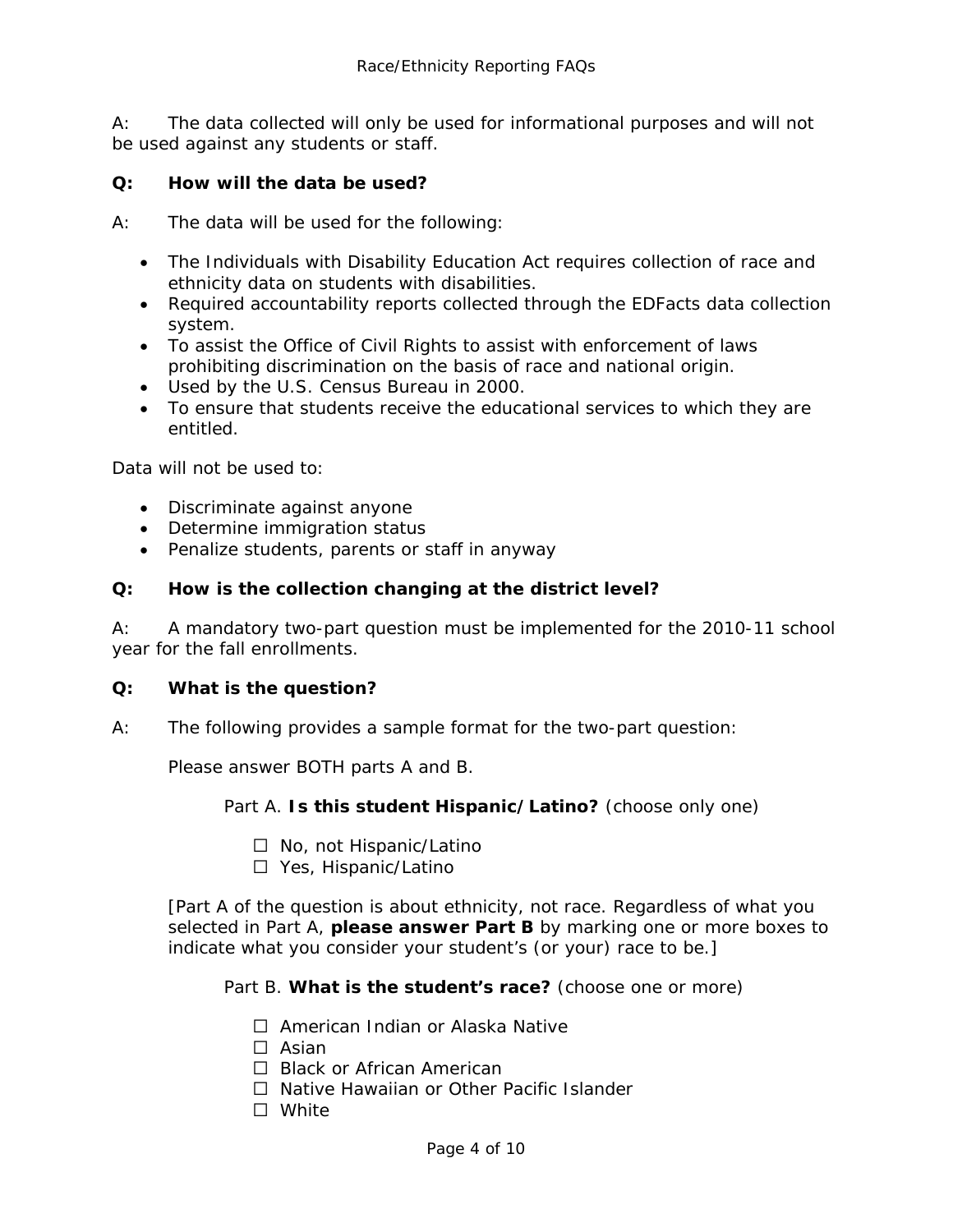A: The data collected will only be used for informational purposes and will not be used against any students or staff.

#### **Q: How will the data be used?**

A: The data will be used for the following:

- The Individuals with Disability Education Act requires collection of race and ethnicity data on students with disabilities.
- Required accountability reports collected through the EDFacts data collection system.
- To assist the Office of Civil Rights to assist with enforcement of laws prohibiting discrimination on the basis of race and national origin.
- Used by the U.S. Census Bureau in 2000.
- To ensure that students receive the educational services to which they are entitled.

Data will not be used to:

- Discriminate against anyone
- Determine immigration status
- Penalize students, parents or staff in anyway

#### **Q: How is the collection changing at the district level?**

A: A mandatory two-part question must be implemented for the 2010-11 school year for the fall enrollments.

#### **Q: What is the question?**

A: The following provides a sample format for the two-part question:

Please answer BOTH parts A and B.

Part A. **Is this student Hispanic/Latino?** (choose only one)

- □ No, not Hispanic/Latino
- □ Yes, Hispanic/Latino

[Part A of the question is about ethnicity, not race. Regardless of what you selected in Part A, **please answer Part B** by marking one or more boxes to indicate what you consider your student's (or your) race to be.]

Part B. **What is the student's race?** (choose one or more)

- □ American Indian or Alaska Native
- $\Box$  Asian
- □ Black or African American
- $\Box$  Native Hawaiian or Other Pacific Islander
- **N/hite**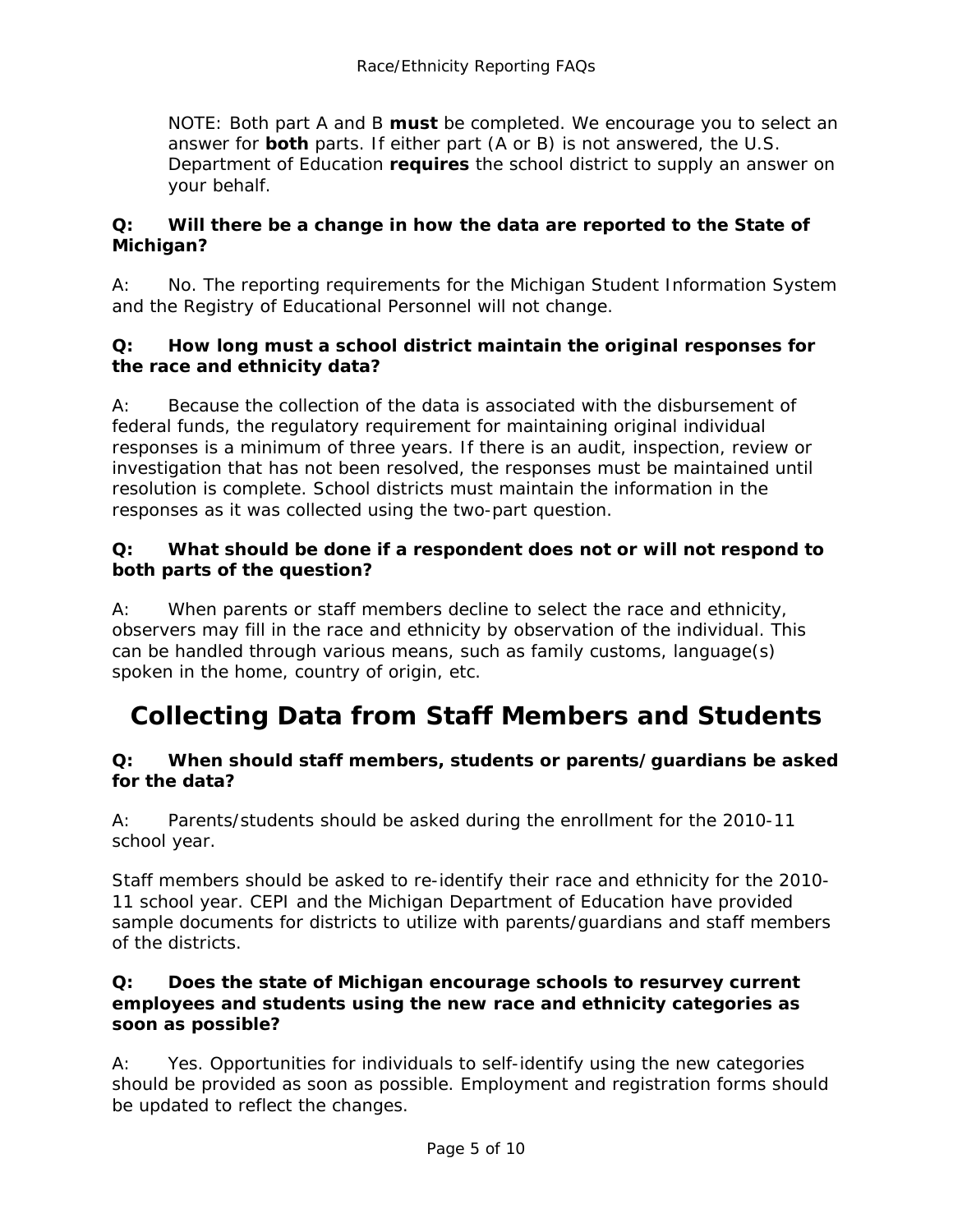NOTE: Both part A and B **must** be completed. We encourage you to select an answer for **both** parts. If either part (A or B) is not answered, the U.S. Department of Education **requires** the school district to supply an answer on your behalf.

#### **Q: Will there be a change in how the data are reported to the State of Michigan?**

A: No. The reporting requirements for the Michigan Student Information System and the Registry of Educational Personnel will not change.

#### **Q: How long must a school district maintain the original responses for the race and ethnicity data?**

A: Because the collection of the data is associated with the disbursement of federal funds, the regulatory requirement for maintaining original individual responses is a minimum of three years. If there is an audit, inspection, review or investigation that has not been resolved, the responses must be maintained until resolution is complete. School districts must maintain the information in the responses as it was collected using the two-part question.

#### **Q: What should be done if a respondent does not or will not respond to both parts of the question?**

A: When parents or staff members decline to select the race and ethnicity, observers may fill in the race and ethnicity by observation of the individual. This can be handled through various means, such as family customs, language(s) spoken in the home, country of origin, etc.

### <span id="page-4-0"></span>**Collecting Data from Staff Members and Students**

#### **Q: When should staff members, students or parents/guardians be asked for the data?**

A: Parents/students should be asked during the enrollment for the 2010-11 school year.

Staff members should be asked to re-identify their race and ethnicity for the 2010- 11 school year. CEPI and the Michigan Department of Education have provided sample documents for districts to utilize with parents/guardians and staff members of the districts.

#### **Q: Does the state of Michigan encourage schools to resurvey current employees and students using the new race and ethnicity categories as soon as possible?**

A: Yes. Opportunities for individuals to self-identify using the new categories should be provided as soon as possible. Employment and registration forms should be updated to reflect the changes.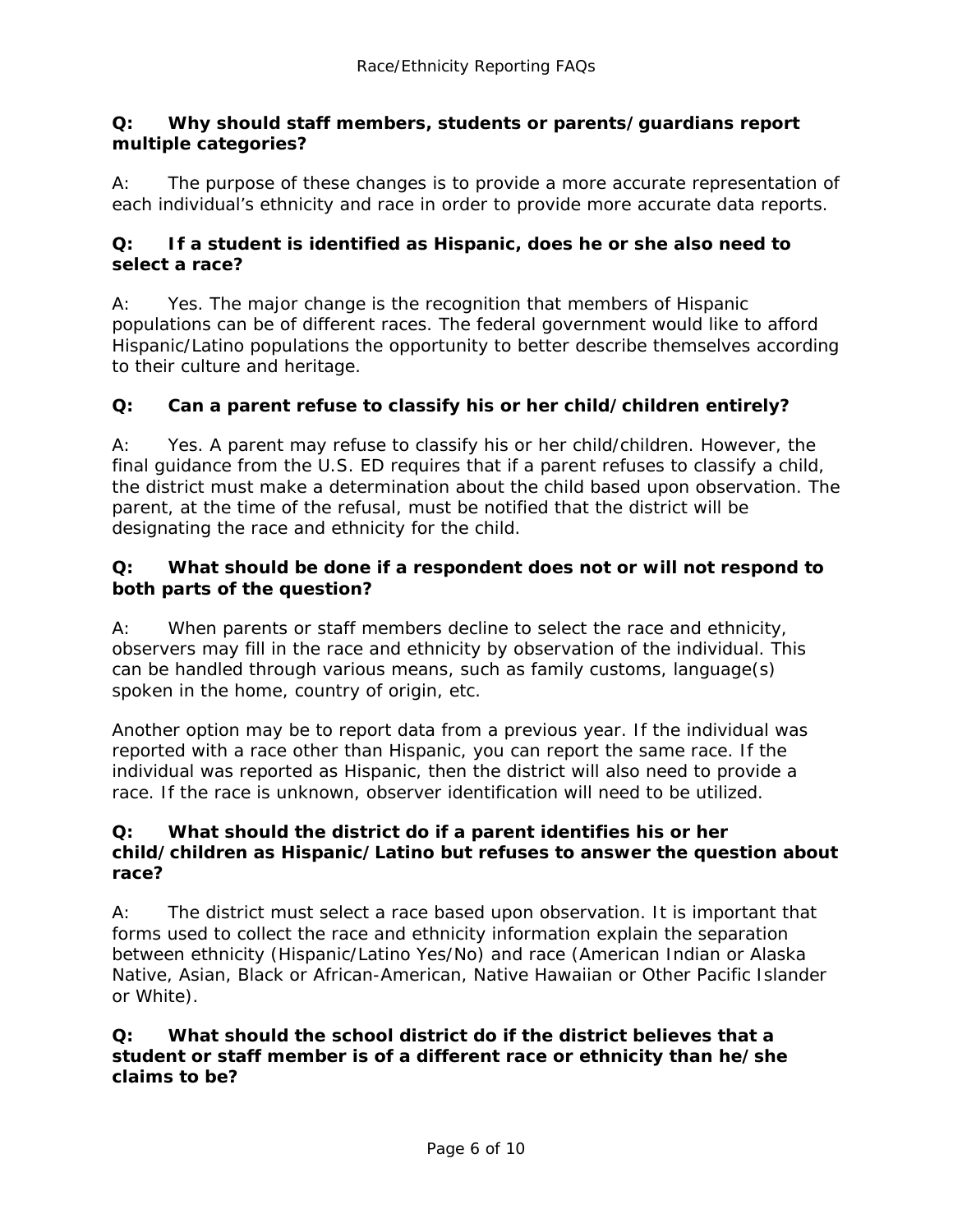#### **Q: Why should staff members, students or parents/guardians report multiple categories?**

A: The purpose of these changes is to provide a more accurate representation of each individual's ethnicity and race in order to provide more accurate data reports.

#### **Q: If a student is identified as Hispanic, does he or she also need to select a race?**

A: Yes. The major change is the recognition that members of Hispanic populations can be of different races. The federal government would like to afford Hispanic/Latino populations the opportunity to better describe themselves according to their culture and heritage.

#### **Q: Can a parent refuse to classify his or her child/children entirely?**

A: Yes. A parent may refuse to classify his or her child/children. However, the final guidance from the U.S. ED requires that if a parent refuses to classify a child, the district must make a determination about the child based upon observation. The parent, at the time of the refusal, must be notified that the district will be designating the race and ethnicity for the child.

#### **Q: What should be done if a respondent does not or will not respond to both parts of the question?**

A: When parents or staff members decline to select the race and ethnicity, observers may fill in the race and ethnicity by observation of the individual. This can be handled through various means, such as family customs, language(s) spoken in the home, country of origin, etc.

Another option may be to report data from a previous year. If the individual was reported with a race other than Hispanic, you can report the same race. If the individual was reported as Hispanic, then the district will also need to provide a race. If the race is unknown, observer identification will need to be utilized.

#### **Q: What should the district do if a parent identifies his or her child/children as Hispanic/Latino but refuses to answer the question about race?**

A: The district must select a race based upon observation. It is important that forms used to collect the race and ethnicity information explain the separation between ethnicity (Hispanic/Latino Yes/No) and race (American Indian or Alaska Native, Asian, Black or African-American, Native Hawaiian or Other Pacific Islander or White).

#### **Q: What should the school district do if the district believes that a student or staff member is of a different race or ethnicity than he/she claims to be?**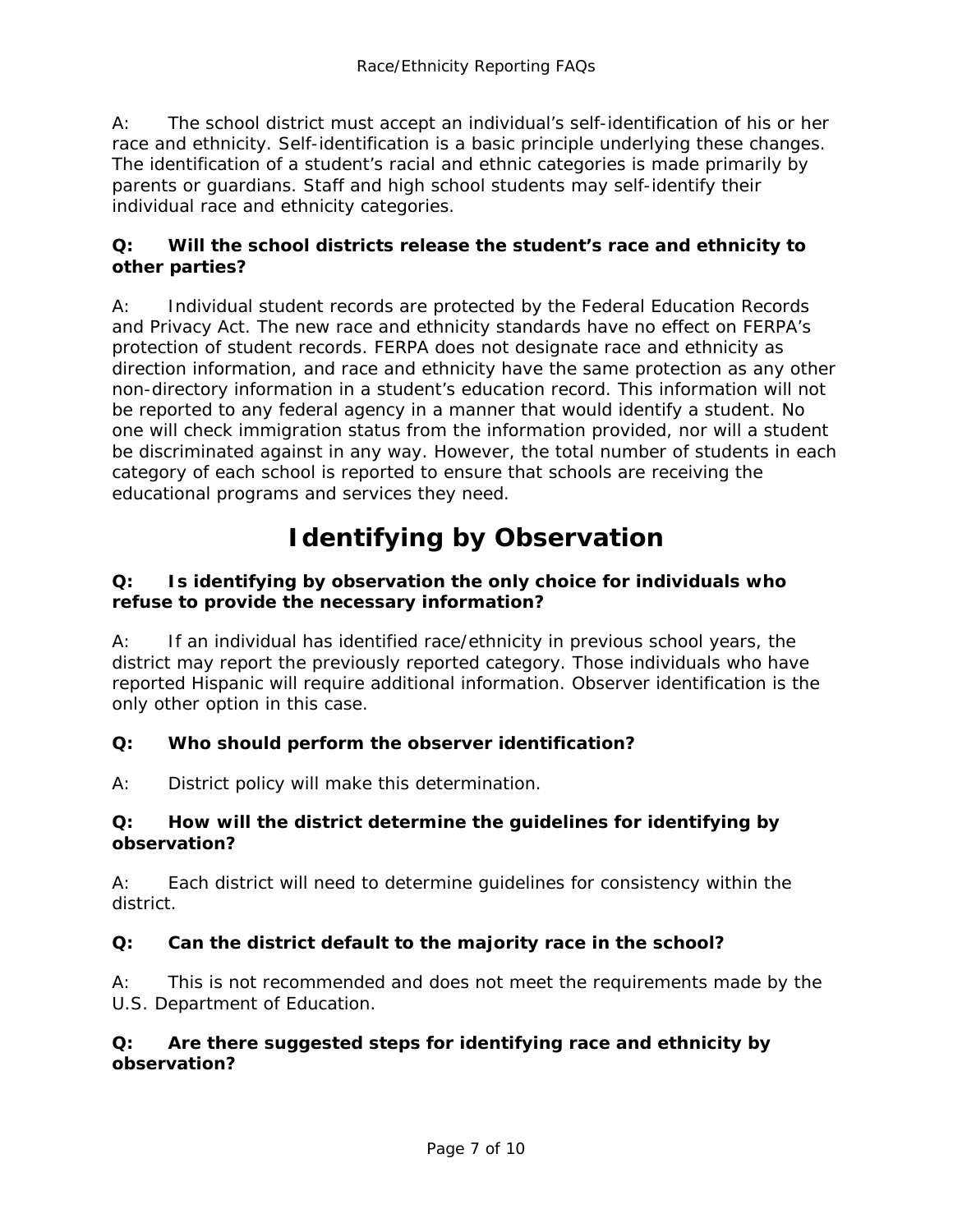A: The school district must accept an individual's self-identification of his or her race and ethnicity. Self-identification is a basic principle underlying these changes. The identification of a student's racial and ethnic categories is made primarily by parents or guardians. Staff and high school students may self-identify their individual race and ethnicity categories.

#### **Q: Will the school districts release the student's race and ethnicity to other parties?**

A: Individual student records are protected by the Federal Education Records and Privacy Act. The new race and ethnicity standards have no effect on FERPA's protection of student records. FERPA does not designate race and ethnicity as direction information, and race and ethnicity have the same protection as any other non-directory information in a student's education record. This information will not be reported to any federal agency in a manner that would identify a student. No one will check immigration status from the information provided, nor will a student be discriminated against in any way. However, the total number of students in each category of each school is reported to ensure that schools are receiving the educational programs and services they need.

# **Identifying by Observation**

#### <span id="page-6-0"></span>**Q: Is identifying by observation the only choice for individuals who refuse to provide the necessary information?**

A: If an individual has identified race/ethnicity in previous school years, the district may report the previously reported category. Those individuals who have reported Hispanic will require additional information. Observer identification is the only other option in this case.

#### **Q: Who should perform the observer identification?**

A: District policy will make this determination.

#### **Q: How will the district determine the guidelines for identifying by observation?**

A: Each district will need to determine guidelines for consistency within the district.

#### **Q: Can the district default to the majority race in the school?**

A: This is not recommended and does not meet the requirements made by the U.S. Department of Education.

#### **Q: Are there suggested steps for identifying race and ethnicity by observation?**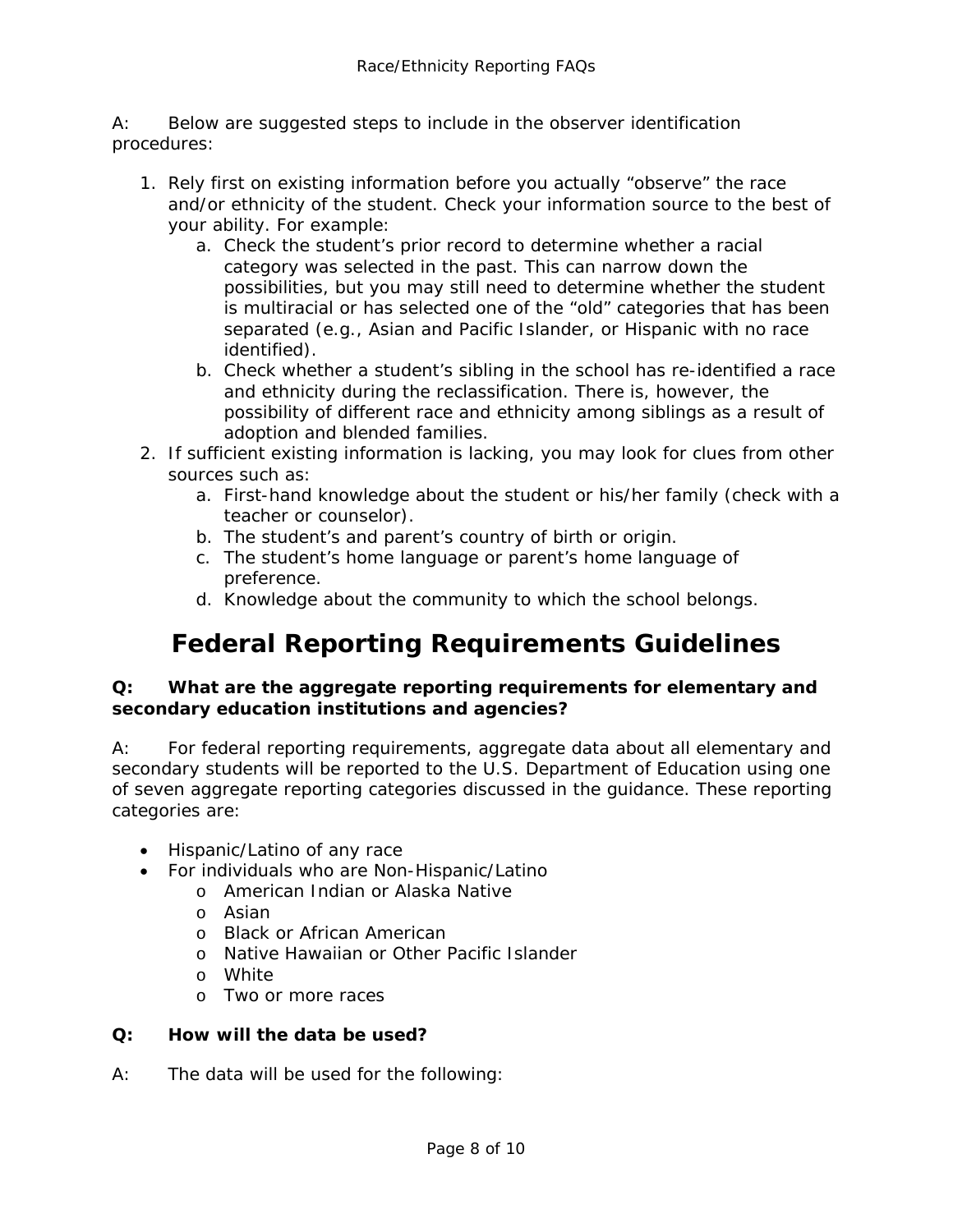A: Below are suggested steps to include in the observer identification procedures:

- 1. Rely first on existing information before you actually "observe" the race and/or ethnicity of the student. Check your information source to the best of your ability. For example:
	- a. Check the student's prior record to determine whether a racial category was selected in the past. This can narrow down the possibilities, but you may still need to determine whether the student is multiracial or has selected one of the "old" categories that has been separated (e.g., Asian and Pacific Islander, or Hispanic with no race identified).
	- b. Check whether a student's sibling in the school has re-identified a race and ethnicity during the reclassification. There is, however, the possibility of different race and ethnicity among siblings as a result of adoption and blended families.
- 2. If sufficient existing information is lacking, you may look for clues from other sources such as:
	- a. First-hand knowledge about the student or his/her family (check with a teacher or counselor).
	- b. The student's and parent's country of birth or origin.
	- c. The student's home language or parent's home language of preference.
	- d. Knowledge about the community to which the school belongs.

# **Federal Reporting Requirements Guidelines**

#### <span id="page-7-0"></span>**Q: What are the aggregate reporting requirements for elementary and secondary education institutions and agencies?**

A: For federal reporting requirements, aggregate data about all elementary and secondary students will be reported to the U.S. Department of Education using one of seven aggregate reporting categories discussed in the guidance. These reporting categories are:

- Hispanic/Latino of any race
- For individuals who are Non-Hispanic/Latino
	- o American Indian or Alaska Native
		- o Asian
		- o Black or African American
		- o Native Hawaiian or Other Pacific Islander
		- o White
		- o Two or more races

#### **Q: How will the data be used?**

A: The data will be used for the following: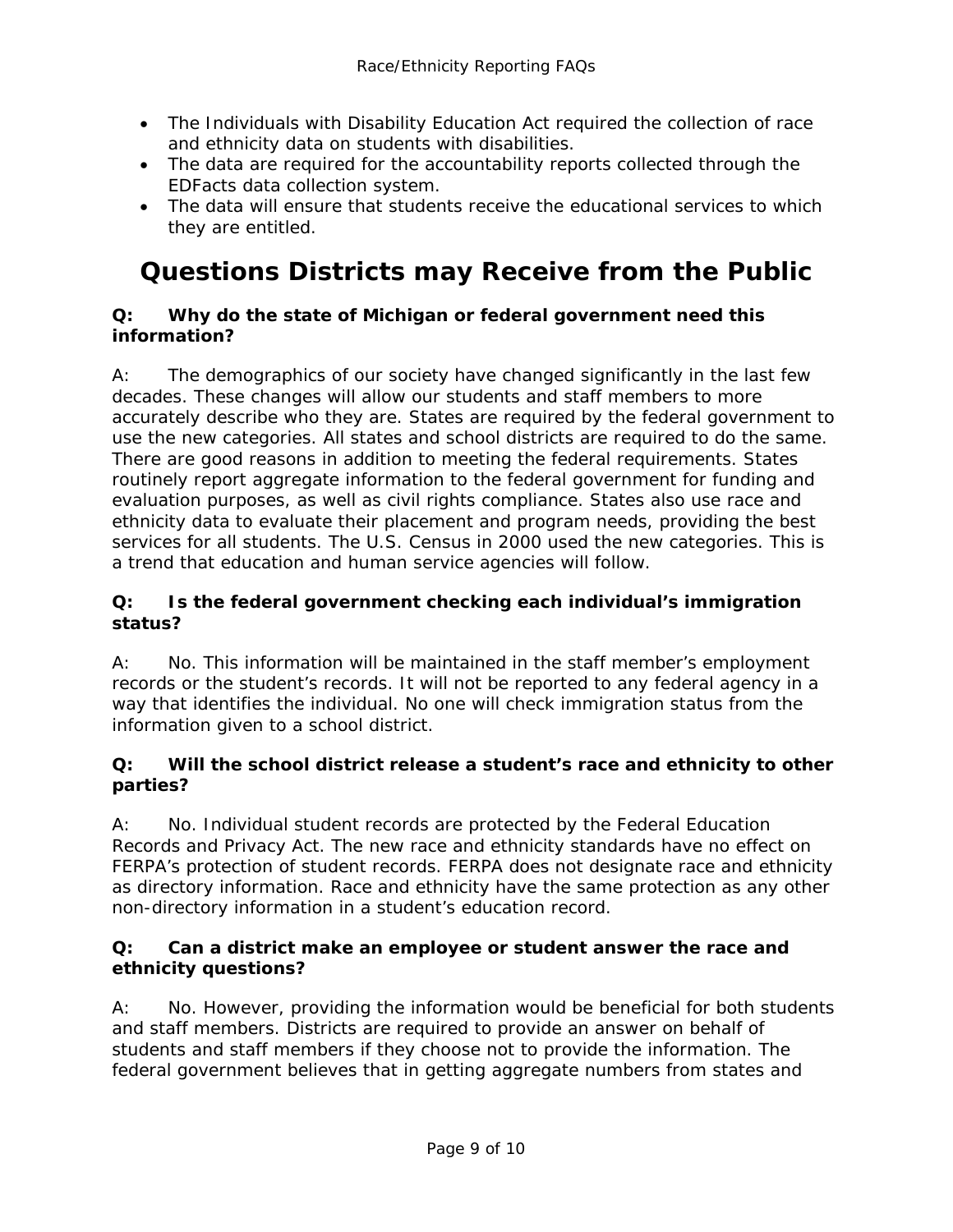- The Individuals with Disability Education Act required the collection of race and ethnicity data on students with disabilities.
- The data are required for the accountability reports collected through the EDFacts data collection system.
- The data will ensure that students receive the educational services to which they are entitled.

# <span id="page-8-0"></span>**Questions Districts may Receive from the Public**

#### **Q: Why do the state of Michigan or federal government need this information?**

A: The demographics of our society have changed significantly in the last few decades. These changes will allow our students and staff members to more accurately describe who they are. States are required by the federal government to use the new categories. All states and school districts are required to do the same. There are good reasons in addition to meeting the federal requirements. States routinely report aggregate information to the federal government for funding and evaluation purposes, as well as civil rights compliance. States also use race and ethnicity data to evaluate their placement and program needs, providing the best services for all students. The U.S. Census in 2000 used the new categories. This is a trend that education and human service agencies will follow.

#### **Q: Is the federal government checking each individual's immigration status?**

A: No. This information will be maintained in the staff member's employment records or the student's records. It will not be reported to any federal agency in a way that identifies the individual. No one will check immigration status from the information given to a school district.

#### **Q: Will the school district release a student's race and ethnicity to other parties?**

A: No. Individual student records are protected by the Federal Education Records and Privacy Act. The new race and ethnicity standards have no effect on FERPA's protection of student records. FERPA does not designate race and ethnicity as directory information. Race and ethnicity have the same protection as any other non-directory information in a student's education record.

#### **Q: Can a district make an employee or student answer the race and ethnicity questions?**

A: No. However, providing the information would be beneficial for both students and staff members. Districts are required to provide an answer on behalf of students and staff members if they choose not to provide the information. The federal government believes that in getting aggregate numbers from states and